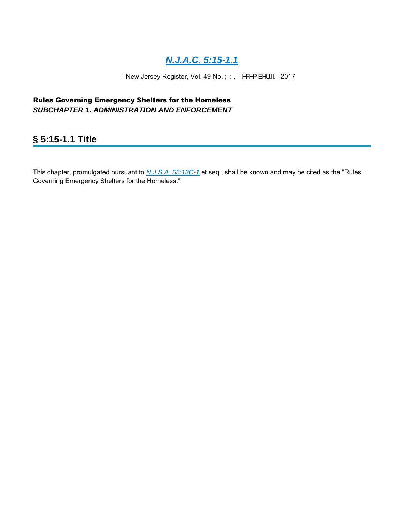New Jersey Register, Vol. 49 No. ÝÝ, Ö^&^{ à^¦ Æri, 2017

### *SUBCHAPTER 1. ADMINISTRATION AND ENFORCEMENT* Rules Governing Emergency Shelters for the Homeless

# **§ 5:15-1.1 Title**

This chapter, promulgated pursuant to *N.J.S.A. 55:13C-1* et seq., shall be known and may be cited as the "Rules Governing Emergency Shelters for the Homeless."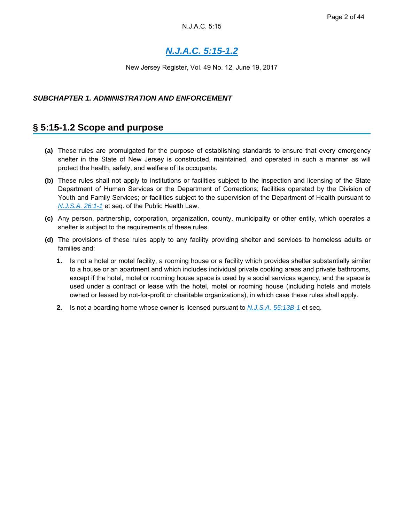New Jersey Register, Vol. 49 No. 12, June 19, 2017

#### *SUBCHAPTER 1. ADMINISTRATION AND ENFORCEMENT*

## **§ 5:15-1.2 Scope and purpose**

- **(a)** These rules are promulgated for the purpose of establishing standards to ensure that every emergency shelter in the State of New Jersey is constructed, maintained, and operated in such a manner as will protect the health, safety, and welfare of its occupants.
- **(b)** These rules shall not apply to institutions or facilities subject to the inspection and licensing of the State Department of Human Services or the Department of Corrections; facilities operated by the Division of Youth and Family Services; or facilities subject to the supervision of the Department of Health pursuant to *N.J.S.A. 26:1-1* et seq. of the Public Health Law.
- **(c)** Any person, partnership, corporation, organization, county, municipality or other entity, which operates a shelter is subject to the requirements of these rules.
- **(d)** The provisions of these rules apply to any facility providing shelter and services to homeless adults or families and:
	- **1.** Is not a hotel or motel facility, a rooming house or a facility which provides shelter substantially similar to a house or an apartment and which includes individual private cooking areas and private bathrooms, except if the hotel, motel or rooming house space is used by a social services agency, and the space is used under a contract or lease with the hotel, motel or rooming house (including hotels and motels owned or leased by not-for-profit or charitable organizations), in which case these rules shall apply.
	- **2.** Is not a boarding home whose owner is licensed pursuant to *N.J.S.A. 55:13B-1* et seq.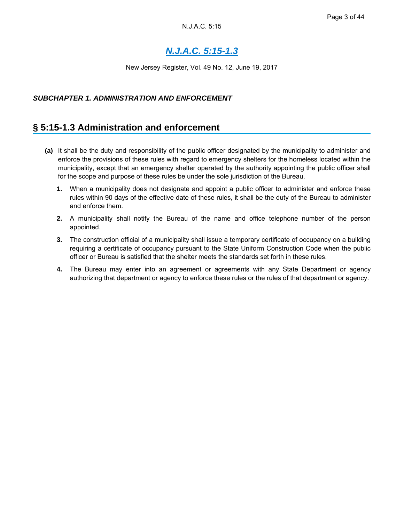New Jersey Register, Vol. 49 No. 12, June 19, 2017

#### *SUBCHAPTER 1. ADMINISTRATION AND ENFORCEMENT*

## **§ 5:15-1.3 Administration and enforcement**

- **(a)** It shall be the duty and responsibility of the public officer designated by the municipality to administer and enforce the provisions of these rules with regard to emergency shelters for the homeless located within the municipality, except that an emergency shelter operated by the authority appointing the public officer shall for the scope and purpose of these rules be under the sole jurisdiction of the Bureau.
	- **1.** When a municipality does not designate and appoint a public officer to administer and enforce these rules within 90 days of the effective date of these rules, it shall be the duty of the Bureau to administer and enforce them.
	- **2.** A municipality shall notify the Bureau of the name and office telephone number of the person appointed.
	- **3.** The construction official of a municipality shall issue a temporary certificate of occupancy on a building requiring a certificate of occupancy pursuant to the State Uniform Construction Code when the public officer or Bureau is satisfied that the shelter meets the standards set forth in these rules.
	- **4.** The Bureau may enter into an agreement or agreements with any State Department or agency authorizing that department or agency to enforce these rules or the rules of that department or agency.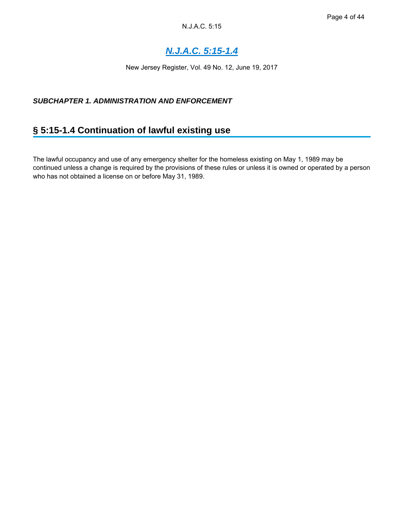# *N.J.A.C. 5:15-1.4*

New Jersey Register, Vol. 49 No. 12, June 19, 2017

### *SUBCHAPTER 1. ADMINISTRATION AND ENFORCEMENT*

# **§ 5:15-1.4 Continuation of lawful existing use**

The lawful occupancy and use of any emergency shelter for the homeless existing on May 1, 1989 may be continued unless a change is required by the provisions of these rules or unless it is owned or operated by a person who has not obtained a license on or before May 31, 1989.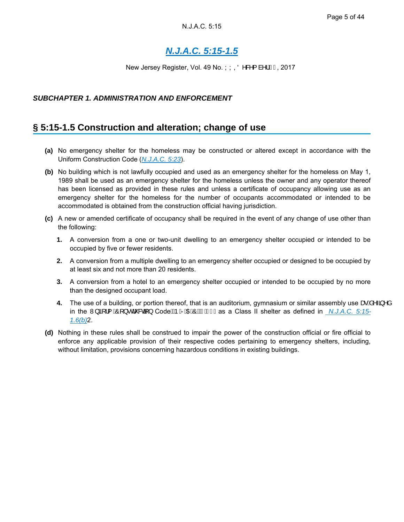New Jersey Register, Vol. 49 No. YY, Ö^&\{ à^¦ frait, 2017

### *SUBCHAPTER 1. ADMINISTRATION AND ENFORCEMENT*

## **§ 5:15-1.5 Construction and alteration; change of use**

- **(a)** No emergency shelter for the homeless may be constructed or altered except in accordance with the Uniform Construction Code (*N.J.A.C. 5:23*).
- **(b)** No building which is not lawfully occupied and used as an emergency shelter for the homeless on May 1, 1989 shall be used as an emergency shelter for the homeless unless the owner and any operator thereof has been licensed as provided in these rules and unless a certificate of occupancy allowing use as an emergency shelter for the homeless for the number of occupants accommodated or intended to be accommodated is obtained from the construction official having jurisdiction.
- **(c)** A new or amended certificate of occupancy shall be required in the event of any change of use other than the following:
	- **1.** A conversion from a one or two-unit dwelling to an emergency shelter occupied or intended to be occupied by five or fewer residents.
	- **2.** A conversion from a multiple dwelling to an emergency shelter occupied or designed to be occupied by at least six and not more than 20 residents.
	- **3.** A conversion from a hotel to an emergency shelter occupied or intended to be occupied by no more than the designed occupant load.
	- **4.** The use of a building, or portion thereof, that is an auditorium, gymnasium or similar assembly use æ &^-a in the W<sub>i</sub>  $\frac{3}{4}$  I{  $\frac{\hat{A}}{\hat{O}}$  } • d' &  $\frac{3}{4}$  Code $\frac{\hat{B}}{\hat{B}}$  **Redigional Geoden-** as defined in *N.J.A.C. 5:15-1.6(b)*2.
- **(d)** Nothing in these rules shall be construed to impair the power of the construction official or fire official to enforce any applicable provision of their respective codes pertaining to emergency shelters, including, without limitation, provisions concerning hazardous conditions in existing buildings.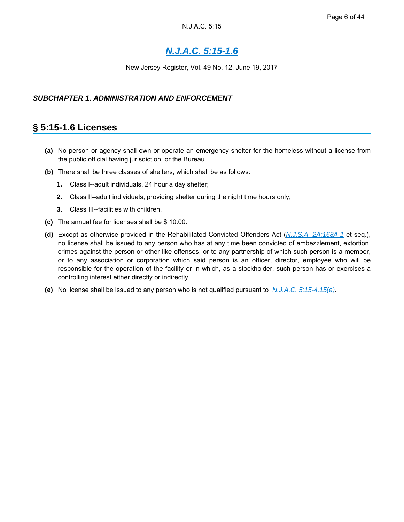New Jersey Register, Vol. 49 No. 12, June 19, 2017

#### *SUBCHAPTER 1. ADMINISTRATION AND ENFORCEMENT*

## **§ 5:15-1.6 Licenses**

- **(a)** No person or agency shall own or operate an emergency shelter for the homeless without a license from the public official having jurisdiction, or the Bureau.
- **(b)** There shall be three classes of shelters, which shall be as follows:
	- **1.** Class I--adult individuals, 24 hour a day shelter;
	- **2.** Class II--adult individuals, providing shelter during the night time hours only;
	- **3.** Class III--facilities with children.
- **(c)** The annual fee for licenses shall be \$ 10.00.
- **(d)** Except as otherwise provided in the Rehabilitated Convicted Offenders Act (*N.J.S.A. 2A:168A-1* et seq.), no license shall be issued to any person who has at any time been convicted of embezzlement, extortion, crimes against the person or other like offenses, or to any partnership of which such person is a member, or to any association or corporation which said person is an officer, director, employee who will be responsible for the operation of the facility or in which, as a stockholder, such person has or exercises a controlling interest either directly or indirectly.
- **(e)** No license shall be issued to any person who is not qualified pursuant to *N.J.A.C. 5:15-4.15(e)*.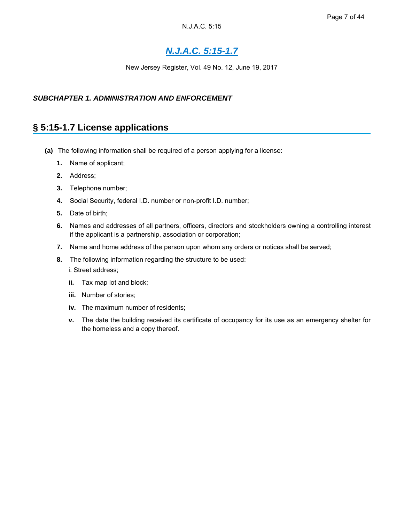New Jersey Register, Vol. 49 No. 12, June 19, 2017

#### *SUBCHAPTER 1. ADMINISTRATION AND ENFORCEMENT*

## **§ 5:15-1.7 License applications**

- **(a)** The following information shall be required of a person applying for a license:
	- **1.** Name of applicant;
	- **2.** Address;
	- **3.** Telephone number;
	- **4.** Social Security, federal I.D. number or non-profit I.D. number;
	- **5.** Date of birth;
	- **6.** Names and addresses of all partners, officers, directors and stockholders owning a controlling interest if the applicant is a partnership, association or corporation;
	- **7.** Name and home address of the person upon whom any orders or notices shall be served;
	- **8.** The following information regarding the structure to be used:

i. Street address;

- **ii.** Tax map lot and block;
- **iii.** Number of stories;
- **iv.** The maximum number of residents;
- **v.** The date the building received its certificate of occupancy for its use as an emergency shelter for the homeless and a copy thereof.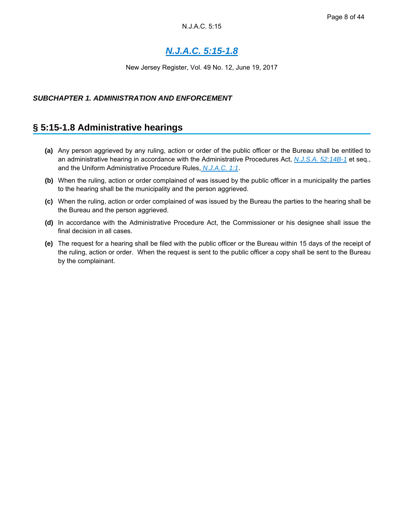New Jersey Register, Vol. 49 No. 12, June 19, 2017

#### *SUBCHAPTER 1. ADMINISTRATION AND ENFORCEMENT*

## **§ 5:15-1.8 Administrative hearings**

- **(a)** Any person aggrieved by any ruling, action or order of the public officer or the Bureau shall be entitled to an administrative hearing in accordance with the Administrative Procedures Act, *N.J.S.A. 52:14B-1* et seq., and the Uniform Administrative Procedure Rules, *N.J.A.C. 1:1*.
- **(b)** When the ruling, action or order complained of was issued by the public officer in a municipality the parties to the hearing shall be the municipality and the person aggrieved.
- **(c)** When the ruling, action or order complained of was issued by the Bureau the parties to the hearing shall be the Bureau and the person aggrieved.
- **(d)** In accordance with the Administrative Procedure Act, the Commissioner or his designee shall issue the final decision in all cases.
- **(e)** The request for a hearing shall be filed with the public officer or the Bureau within 15 days of the receipt of the ruling, action or order. When the request is sent to the public officer a copy shall be sent to the Bureau by the complainant.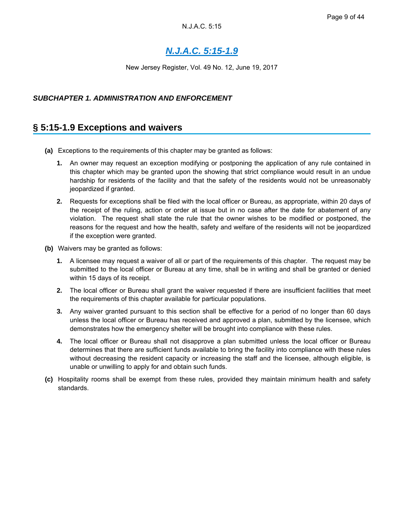New Jersey Register, Vol. 49 No. 12, June 19, 2017

### *SUBCHAPTER 1. ADMINISTRATION AND ENFORCEMENT*

## **§ 5:15-1.9 Exceptions and waivers**

- **(a)** Exceptions to the requirements of this chapter may be granted as follows:
	- **1.** An owner may request an exception modifying or postponing the application of any rule contained in this chapter which may be granted upon the showing that strict compliance would result in an undue hardship for residents of the facility and that the safety of the residents would not be unreasonably jeopardized if granted.
	- **2.** Requests for exceptions shall be filed with the local officer or Bureau, as appropriate, within 20 days of the receipt of the ruling, action or order at issue but in no case after the date for abatement of any violation. The request shall state the rule that the owner wishes to be modified or postponed, the reasons for the request and how the health, safety and welfare of the residents will not be jeopardized if the exception were granted.
- **(b)** Waivers may be granted as follows:
	- **1.** A licensee may request a waiver of all or part of the requirements of this chapter. The request may be submitted to the local officer or Bureau at any time, shall be in writing and shall be granted or denied within 15 days of its receipt.
	- **2.** The local officer or Bureau shall grant the waiver requested if there are insufficient facilities that meet the requirements of this chapter available for particular populations.
	- **3.** Any waiver granted pursuant to this section shall be effective for a period of no longer than 60 days unless the local officer or Bureau has received and approved a plan, submitted by the licensee, which demonstrates how the emergency shelter will be brought into compliance with these rules.
	- **4.** The local officer or Bureau shall not disapprove a plan submitted unless the local officer or Bureau determines that there are sufficient funds available to bring the facility into compliance with these rules without decreasing the resident capacity or increasing the staff and the licensee, although eligible, is unable or unwilling to apply for and obtain such funds.
- **(c)** Hospitality rooms shall be exempt from these rules, provided they maintain minimum health and safety standards.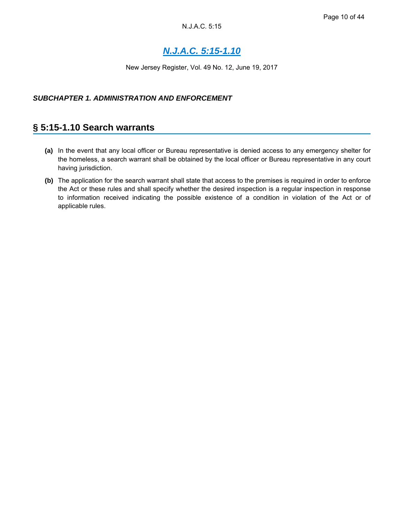New Jersey Register, Vol. 49 No. 12, June 19, 2017

#### *SUBCHAPTER 1. ADMINISTRATION AND ENFORCEMENT*

### **§ 5:15-1.10 Search warrants**

- **(a)** In the event that any local officer or Bureau representative is denied access to any emergency shelter for the homeless, a search warrant shall be obtained by the local officer or Bureau representative in any court having jurisdiction.
- **(b)** The application for the search warrant shall state that access to the premises is required in order to enforce the Act or these rules and shall specify whether the desired inspection is a regular inspection in response to information received indicating the possible existence of a condition in violation of the Act or of applicable rules.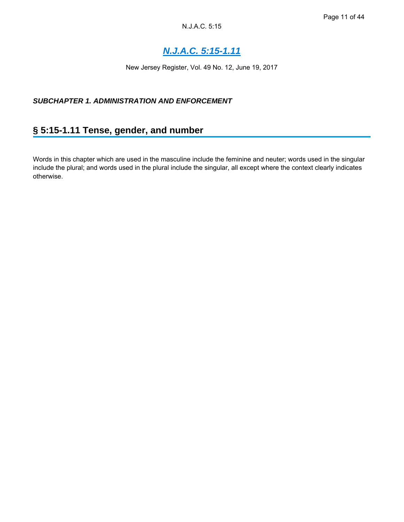# *N.J.A.C. 5:15-1.11*

New Jersey Register, Vol. 49 No. 12, June 19, 2017

### *SUBCHAPTER 1. ADMINISTRATION AND ENFORCEMENT*

# **§ 5:15-1.11 Tense, gender, and number**

Words in this chapter which are used in the masculine include the feminine and neuter; words used in the singular include the plural; and words used in the plural include the singular, all except where the context clearly indicates otherwise.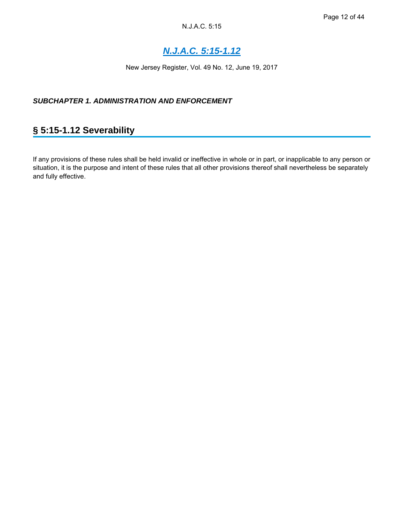# *N.J.A.C. 5:15-1.12*

New Jersey Register, Vol. 49 No. 12, June 19, 2017

### *SUBCHAPTER 1. ADMINISTRATION AND ENFORCEMENT*

## **§ 5:15-1.12 Severability**

If any provisions of these rules shall be held invalid or ineffective in whole or in part, or inapplicable to any person or situation, it is the purpose and intent of these rules that all other provisions thereof shall nevertheless be separately and fully effective.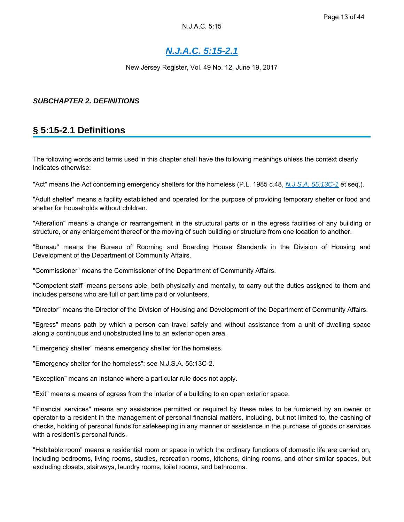New Jersey Register, Vol. 49 No. 12, June 19, 2017

#### *SUBCHAPTER 2. DEFINITIONS*

## **§ 5:15-2.1 Definitions**

The following words and terms used in this chapter shall have the following meanings unless the context clearly indicates otherwise:

"Act" means the Act concerning emergency shelters for the homeless (P.L. 1985 c.48, *N.J.S.A. 55:13C-1* et seq.).

"Adult shelter" means a facility established and operated for the purpose of providing temporary shelter or food and shelter for households without children.

"Alteration" means a change or rearrangement in the structural parts or in the egress facilities of any building or structure, or any enlargement thereof or the moving of such building or structure from one location to another.

"Bureau" means the Bureau of Rooming and Boarding House Standards in the Division of Housing and Development of the Department of Community Affairs.

"Commissioner" means the Commissioner of the Department of Community Affairs.

"Competent staff" means persons able, both physically and mentally, to carry out the duties assigned to them and includes persons who are full or part time paid or volunteers.

"Director" means the Director of the Division of Housing and Development of the Department of Community Affairs.

"Egress" means path by which a person can travel safely and without assistance from a unit of dwelling space along a continuous and unobstructed line to an exterior open area.

"Emergency shelter" means emergency shelter for the homeless.

"Emergency shelter for the homeless": see N.J.S.A. 55:13C-2.

"Exception" means an instance where a particular rule does not apply.

"Exit" means a means of egress from the interior of a building to an open exterior space.

"Financial services" means any assistance permitted or required by these rules to be furnished by an owner or operator to a resident in the management of personal financial matters, including, but not limited to, the cashing of checks, holding of personal funds for safekeeping in any manner or assistance in the purchase of goods or services with a resident's personal funds.

"Habitable room" means a residential room or space in which the ordinary functions of domestic life are carried on, including bedrooms, living rooms, studies, recreation rooms, kitchens, dining rooms, and other similar spaces, but excluding closets, stairways, laundry rooms, toilet rooms, and bathrooms.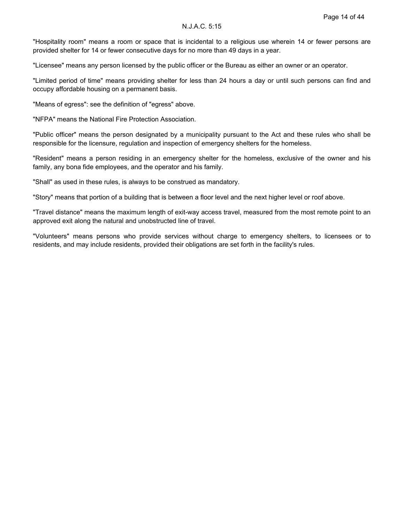"Hospitality room" means a room or space that is incidental to a religious use wherein 14 or fewer persons are provided shelter for 14 or fewer consecutive days for no more than 49 days in a year.

"Licensee" means any person licensed by the public officer or the Bureau as either an owner or an operator.

"Limited period of time" means providing shelter for less than 24 hours a day or until such persons can find and occupy affordable housing on a permanent basis.

"Means of egress": see the definition of "egress" above.

"NFPA" means the National Fire Protection Association.

"Public officer" means the person designated by a municipality pursuant to the Act and these rules who shall be responsible for the licensure, regulation and inspection of emergency shelters for the homeless.

"Resident" means a person residing in an emergency shelter for the homeless, exclusive of the owner and his family, any bona fide employees, and the operator and his family.

"Shall" as used in these rules, is always to be construed as mandatory.

"Story" means that portion of a building that is between a floor level and the next higher level or roof above.

"Travel distance" means the maximum length of exit-way access travel, measured from the most remote point to an approved exit along the natural and unobstructed line of travel.

"Volunteers" means persons who provide services without charge to emergency shelters, to licensees or to residents, and may include residents, provided their obligations are set forth in the facility's rules.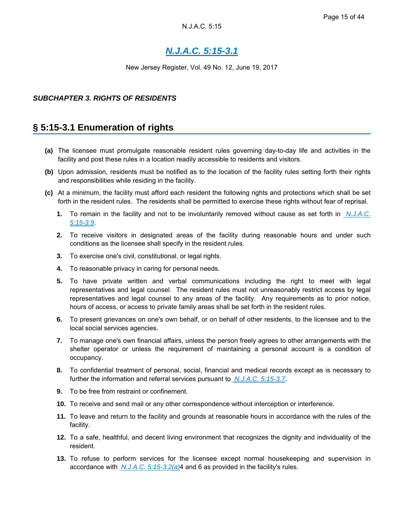New Jersey Register, Vol. 49 No. 12, June 19, 2017

#### *SUBCHAPTER 3. RIGHTS OF RESIDENTS*

## **§ 5:15-3.1 Enumeration of rights**

- **(a)** The licensee must promulgate reasonable resident rules governing day-to-day life and activities in the facility and post these rules in a location readily accessible to residents and visitors.
- **(b)** Upon admission, residents must be notified as to the location of the facility rules setting forth their rights and responsibilities while residing in the facility.
- **(c)** At a minimum, the facility must afford each resident the following rights and protections which shall be set forth in the resident rules. The residents shall be permitted to exercise these rights without fear of reprisal.
	- **1.** To remain in the facility and not to be involuntarily removed without cause as set forth in *N.J.A.C. 5:15-3.9*.
	- **2.** To receive visitors in designated areas of the facility during reasonable hours and under such conditions as the licensee shall specify in the resident rules.
	- **3.** To exercise one's civil, constitutional, or legal rights.
	- **4.** To reasonable privacy in caring for personal needs.
	- **5.** To have private written and verbal communications including the right to meet with legal representatives and legal counsel. The resident rules must not unreasonably restrict access by legal representatives and legal counsel to any areas of the facility. Any requirements as to prior notice, hours of access, or access to private family areas shall be set forth in the resident rules.
	- **6.** To present grievances on one's own behalf, or on behalf of other residents, to the licensee and to the local social services agencies.
	- **7.** To manage one's own financial affairs, unless the person freely agrees to other arrangements with the shelter operator or unless the requirement of maintaining a personal account is a condition of occupancy.
	- **8.** To confidential treatment of personal, social, financial and medical records except as is necessary to further the information and referral services pursuant to *N.J.A.C. 5:15-3.7*.
	- **9.** To be free from restraint or confinement.
	- **10.** To receive and send mail or any other correspondence without interception or interference.
	- **11.** To leave and return to the facility and grounds at reasonable hours in accordance with the rules of the facility.
	- **12.** To a safe, healthful, and decent living environment that recognizes the dignity and individuality of the resident.
	- **13.** To refuse to perform services for the licensee except normal housekeeping and supervision in accordance with *N.J.A.C. 5:15-3.2(a)*4 and 6 as provided in the facility's rules.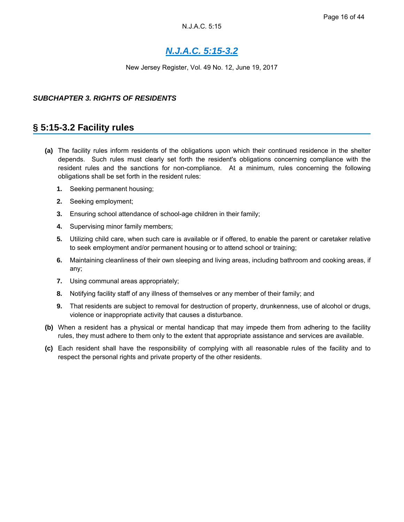New Jersey Register, Vol. 49 No. 12, June 19, 2017

#### *SUBCHAPTER 3. RIGHTS OF RESIDENTS*

### **§ 5:15-3.2 Facility rules**

- **(a)** The facility rules inform residents of the obligations upon which their continued residence in the shelter depends. Such rules must clearly set forth the resident's obligations concerning compliance with the resident rules and the sanctions for non-compliance. At a minimum, rules concerning the following obligations shall be set forth in the resident rules:
	- **1.** Seeking permanent housing;
	- **2.** Seeking employment;
	- **3.** Ensuring school attendance of school-age children in their family;
	- **4.** Supervising minor family members;
	- **5.** Utilizing child care, when such care is available or if offered, to enable the parent or caretaker relative to seek employment and/or permanent housing or to attend school or training;
	- **6.** Maintaining cleanliness of their own sleeping and living areas, including bathroom and cooking areas, if any;
	- **7.** Using communal areas appropriately;
	- **8.** Notifying facility staff of any illness of themselves or any member of their family; and
	- **9.** That residents are subject to removal for destruction of property, drunkenness, use of alcohol or drugs, violence or inappropriate activity that causes a disturbance.
- **(b)** When a resident has a physical or mental handicap that may impede them from adhering to the facility rules, they must adhere to them only to the extent that appropriate assistance and services are available.
- **(c)** Each resident shall have the responsibility of complying with all reasonable rules of the facility and to respect the personal rights and private property of the other residents.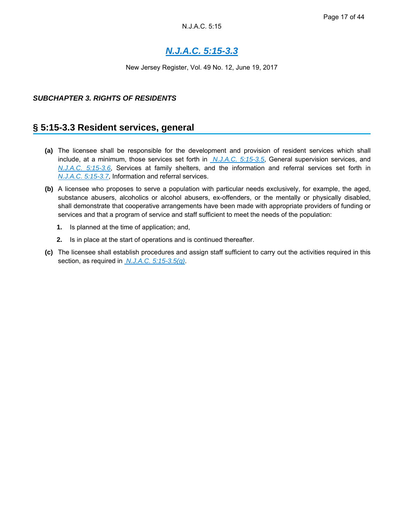New Jersey Register, Vol. 49 No. 12, June 19, 2017

#### *SUBCHAPTER 3. RIGHTS OF RESIDENTS*

### **§ 5:15-3.3 Resident services, general**

- **(a)** The licensee shall be responsible for the development and provision of resident services which shall include, at a minimum, those services set forth in *N.J.A.C. 5:15-3.5*, General supervision services, and *N.J.A.C. 5:15-3.6*, Services at family shelters, and the information and referral services set forth in *N.J.A.C. 5:15-3.7*, Information and referral services.
- **(b)** A licensee who proposes to serve a population with particular needs exclusively, for example, the aged, substance abusers, alcoholics or alcohol abusers, ex-offenders, or the mentally or physically disabled, shall demonstrate that cooperative arrangements have been made with appropriate providers of funding or services and that a program of service and staff sufficient to meet the needs of the population:
	- **1.** Is planned at the time of application; and,
	- **2.** Is in place at the start of operations and is continued thereafter.
- **(c)** The licensee shall establish procedures and assign staff sufficient to carry out the activities required in this section, as required in *N.J.A.C. 5:15-3.5(g)*.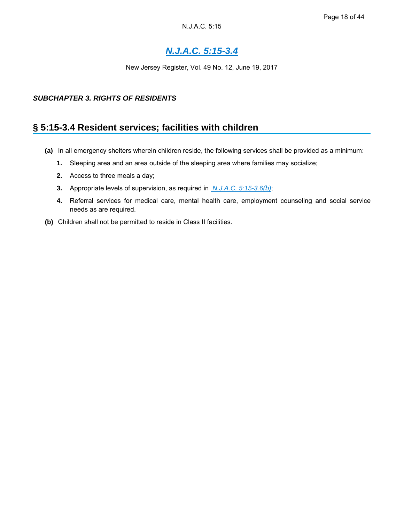New Jersey Register, Vol. 49 No. 12, June 19, 2017

#### *SUBCHAPTER 3. RIGHTS OF RESIDENTS*

### **§ 5:15-3.4 Resident services; facilities with children**

- **(a)** In all emergency shelters wherein children reside, the following services shall be provided as a minimum:
	- **1.** Sleeping area and an area outside of the sleeping area where families may socialize;
	- **2.** Access to three meals a day;
	- **3.** Appropriate levels of supervision, as required in *N.J.A.C. 5:15-3.6(b)*;
	- **4.** Referral services for medical care, mental health care, employment counseling and social service needs as are required.
- **(b)** Children shall not be permitted to reside in Class II facilities.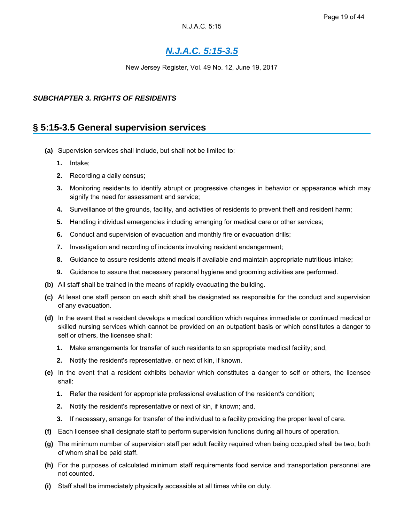New Jersey Register, Vol. 49 No. 12, June 19, 2017

#### *SUBCHAPTER 3. RIGHTS OF RESIDENTS*

## **§ 5:15-3.5 General supervision services**

- **(a)** Supervision services shall include, but shall not be limited to:
	- **1.** Intake;
	- **2.** Recording a daily census;
	- **3.** Monitoring residents to identify abrupt or progressive changes in behavior or appearance which may signify the need for assessment and service;
	- **4.** Surveillance of the grounds, facility, and activities of residents to prevent theft and resident harm;
	- **5.** Handling individual emergencies including arranging for medical care or other services;
	- **6.** Conduct and supervision of evacuation and monthly fire or evacuation drills;
	- **7.** Investigation and recording of incidents involving resident endangerment;
	- **8.** Guidance to assure residents attend meals if available and maintain appropriate nutritious intake;
	- **9.** Guidance to assure that necessary personal hygiene and grooming activities are performed.
- **(b)** All staff shall be trained in the means of rapidly evacuating the building.
- **(c)** At least one staff person on each shift shall be designated as responsible for the conduct and supervision of any evacuation.
- **(d)** In the event that a resident develops a medical condition which requires immediate or continued medical or skilled nursing services which cannot be provided on an outpatient basis or which constitutes a danger to self or others, the licensee shall:
	- **1.** Make arrangements for transfer of such residents to an appropriate medical facility; and,
	- **2.** Notify the resident's representative, or next of kin, if known.
- **(e)** In the event that a resident exhibits behavior which constitutes a danger to self or others, the licensee shall:
	- **1.** Refer the resident for appropriate professional evaluation of the resident's condition;
	- **2.** Notify the resident's representative or next of kin, if known; and,
	- **3.** If necessary, arrange for transfer of the individual to a facility providing the proper level of care.
- **(f)** Each licensee shall designate staff to perform supervision functions during all hours of operation.
- **(g)** The minimum number of supervision staff per adult facility required when being occupied shall be two, both of whom shall be paid staff.
- **(h)** For the purposes of calculated minimum staff requirements food service and transportation personnel are not counted.
- **(i)** Staff shall be immediately physically accessible at all times while on duty.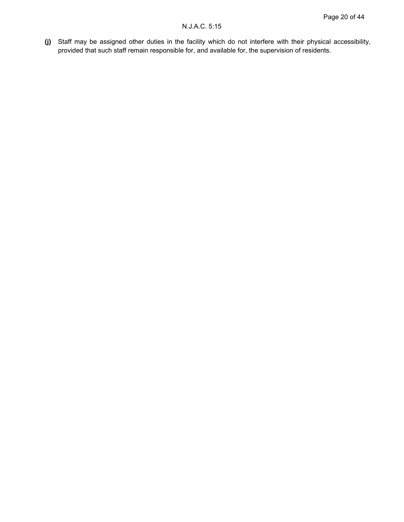**(j)** Staff may be assigned other duties in the facility which do not interfere with their physical accessibility, provided that such staff remain responsible for, and available for, the supervision of residents.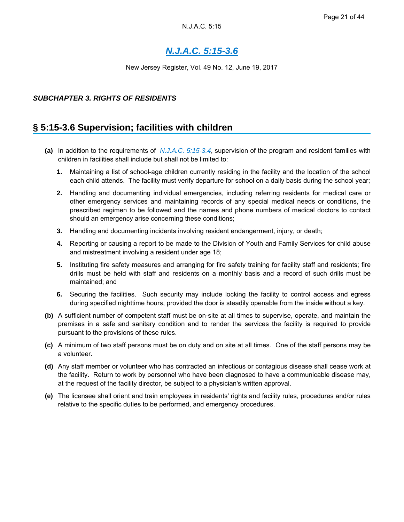New Jersey Register, Vol. 49 No. 12, June 19, 2017

#### *SUBCHAPTER 3. RIGHTS OF RESIDENTS*

## **§ 5:15-3.6 Supervision; facilities with children**

- **(a)** In addition to the requirements of *N.J.A.C. 5:15-3.4*, supervision of the program and resident families with children in facilities shall include but shall not be limited to:
	- **1.** Maintaining a list of school-age children currently residing in the facility and the location of the school each child attends. The facility must verify departure for school on a daily basis during the school year;
	- **2.** Handling and documenting individual emergencies, including referring residents for medical care or other emergency services and maintaining records of any special medical needs or conditions, the prescribed regimen to be followed and the names and phone numbers of medical doctors to contact should an emergency arise concerning these conditions;
	- **3.** Handling and documenting incidents involving resident endangerment, injury, or death;
	- **4.** Reporting or causing a report to be made to the Division of Youth and Family Services for child abuse and mistreatment involving a resident under age 18;
	- **5.** Instituting fire safety measures and arranging for fire safety training for facility staff and residents; fire drills must be held with staff and residents on a monthly basis and a record of such drills must be maintained; and
	- **6.** Securing the facilities. Such security may include locking the facility to control access and egress during specified nighttime hours, provided the door is steadily openable from the inside without a key.
- **(b)** A sufficient number of competent staff must be on-site at all times to supervise, operate, and maintain the premises in a safe and sanitary condition and to render the services the facility is required to provide pursuant to the provisions of these rules.
- **(c)** A minimum of two staff persons must be on duty and on site at all times. One of the staff persons may be a volunteer.
- **(d)** Any staff member or volunteer who has contracted an infectious or contagious disease shall cease work at the facility. Return to work by personnel who have been diagnosed to have a communicable disease may, at the request of the facility director, be subject to a physician's written approval.
- **(e)** The licensee shall orient and train employees in residents' rights and facility rules, procedures and/or rules relative to the specific duties to be performed, and emergency procedures.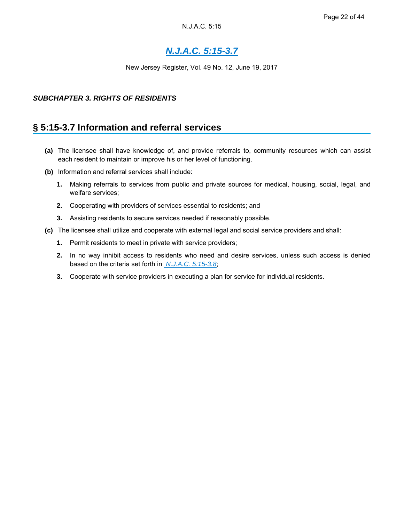New Jersey Register, Vol. 49 No. 12, June 19, 2017

#### *SUBCHAPTER 3. RIGHTS OF RESIDENTS*

### **§ 5:15-3.7 Information and referral services**

- **(a)** The licensee shall have knowledge of, and provide referrals to, community resources which can assist each resident to maintain or improve his or her level of functioning.
- **(b)** Information and referral services shall include:
	- **1.** Making referrals to services from public and private sources for medical, housing, social, legal, and welfare services;
	- **2.** Cooperating with providers of services essential to residents; and
	- **3.** Assisting residents to secure services needed if reasonably possible.
- **(c)** The licensee shall utilize and cooperate with external legal and social service providers and shall:
	- **1.** Permit residents to meet in private with service providers;
	- **2.** In no way inhibit access to residents who need and desire services, unless such access is denied based on the criteria set forth in *N.J.A.C. 5:15-3.8*;
	- **3.** Cooperate with service providers in executing a plan for service for individual residents.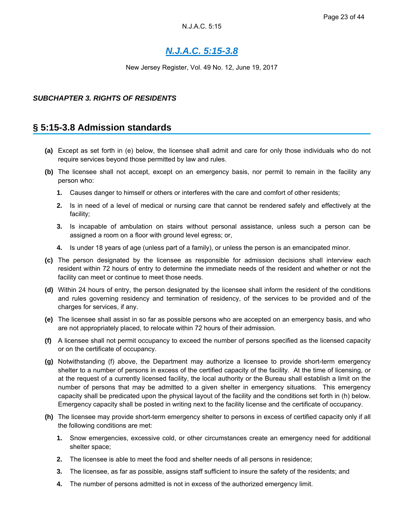New Jersey Register, Vol. 49 No. 12, June 19, 2017

#### *SUBCHAPTER 3. RIGHTS OF RESIDENTS*

### **§ 5:15-3.8 Admission standards**

- **(a)** Except as set forth in (e) below, the licensee shall admit and care for only those individuals who do not require services beyond those permitted by law and rules.
- **(b)** The licensee shall not accept, except on an emergency basis, nor permit to remain in the facility any person who:
	- **1.** Causes danger to himself or others or interferes with the care and comfort of other residents;
	- **2.** Is in need of a level of medical or nursing care that cannot be rendered safely and effectively at the facility;
	- **3.** Is incapable of ambulation on stairs without personal assistance, unless such a person can be assigned a room on a floor with ground level egress; or,
	- **4.** Is under 18 years of age (unless part of a family), or unless the person is an emancipated minor.
- **(c)** The person designated by the licensee as responsible for admission decisions shall interview each resident within 72 hours of entry to determine the immediate needs of the resident and whether or not the facility can meet or continue to meet those needs.
- **(d)** Within 24 hours of entry, the person designated by the licensee shall inform the resident of the conditions and rules governing residency and termination of residency, of the services to be provided and of the charges for services, if any.
- **(e)** The licensee shall assist in so far as possible persons who are accepted on an emergency basis, and who are not appropriately placed, to relocate within 72 hours of their admission.
- **(f)** A licensee shall not permit occupancy to exceed the number of persons specified as the licensed capacity or on the certificate of occupancy.
- **(g)** Notwithstanding (f) above, the Department may authorize a licensee to provide short-term emergency shelter to a number of persons in excess of the certified capacity of the facility. At the time of licensing, or at the request of a currently licensed facility, the local authority or the Bureau shall establish a limit on the number of persons that may be admitted to a given shelter in emergency situations. This emergency capacity shall be predicated upon the physical layout of the facility and the conditions set forth in (h) below. Emergency capacity shall be posted in writing next to the facility license and the certificate of occupancy.
- **(h)** The licensee may provide short-term emergency shelter to persons in excess of certified capacity only if all the following conditions are met:
	- **1.** Snow emergencies, excessive cold, or other circumstances create an emergency need for additional shelter space;
	- **2.** The licensee is able to meet the food and shelter needs of all persons in residence;
	- **3.** The licensee, as far as possible, assigns staff sufficient to insure the safety of the residents; and
	- **4.** The number of persons admitted is not in excess of the authorized emergency limit.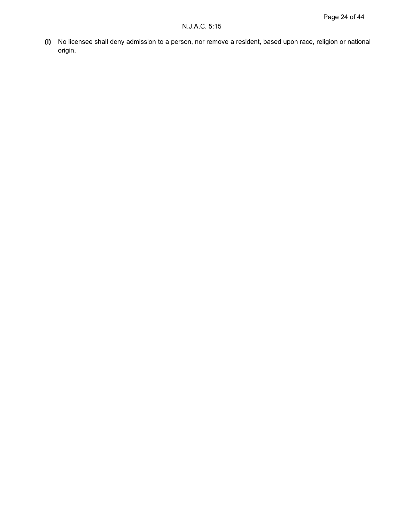**(i)** No licensee shall deny admission to a person, nor remove a resident, based upon race, religion or national origin.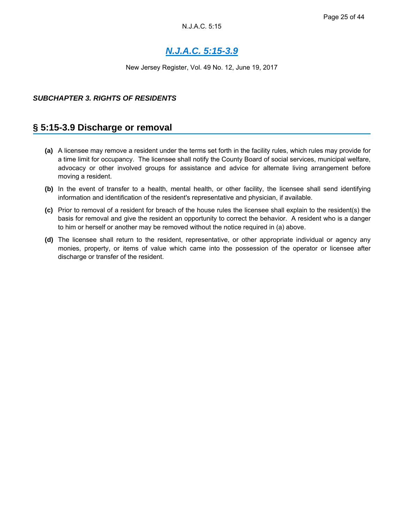New Jersey Register, Vol. 49 No. 12, June 19, 2017

#### *SUBCHAPTER 3. RIGHTS OF RESIDENTS*

### **§ 5:15-3.9 Discharge or removal**

- **(a)** A licensee may remove a resident under the terms set forth in the facility rules, which rules may provide for a time limit for occupancy. The licensee shall notify the County Board of social services, municipal welfare, advocacy or other involved groups for assistance and advice for alternate living arrangement before moving a resident.
- **(b)** In the event of transfer to a health, mental health, or other facility, the licensee shall send identifying information and identification of the resident's representative and physician, if available.
- **(c)** Prior to removal of a resident for breach of the house rules the licensee shall explain to the resident(s) the basis for removal and give the resident an opportunity to correct the behavior. A resident who is a danger to him or herself or another may be removed without the notice required in (a) above.
- **(d)** The licensee shall return to the resident, representative, or other appropriate individual or agency any monies, property, or items of value which came into the possession of the operator or licensee after discharge or transfer of the resident.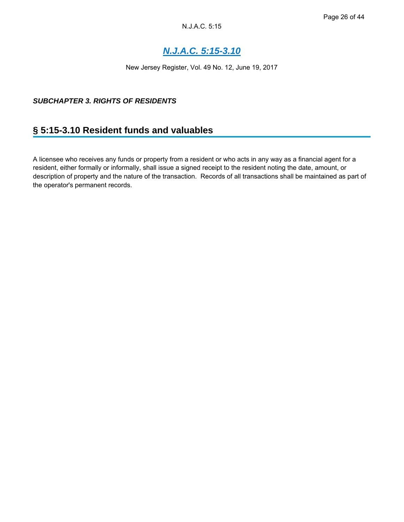# *N.J.A.C. 5:15-3.10*

New Jersey Register, Vol. 49 No. 12, June 19, 2017

### *SUBCHAPTER 3. RIGHTS OF RESIDENTS*

## **§ 5:15-3.10 Resident funds and valuables**

A licensee who receives any funds or property from a resident or who acts in any way as a financial agent for a resident, either formally or informally, shall issue a signed receipt to the resident noting the date, amount, or description of property and the nature of the transaction. Records of all transactions shall be maintained as part of the operator's permanent records.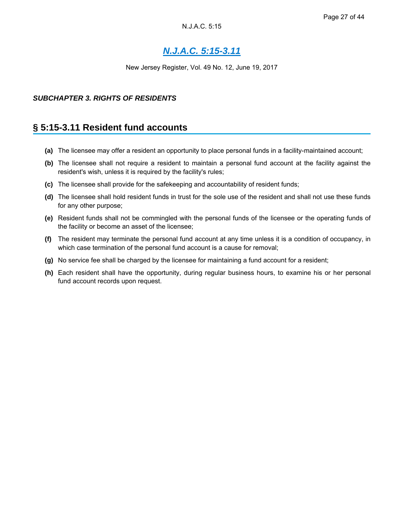New Jersey Register, Vol. 49 No. 12, June 19, 2017

#### *SUBCHAPTER 3. RIGHTS OF RESIDENTS*

## **§ 5:15-3.11 Resident fund accounts**

- **(a)** The licensee may offer a resident an opportunity to place personal funds in a facility-maintained account;
- **(b)** The licensee shall not require a resident to maintain a personal fund account at the facility against the resident's wish, unless it is required by the facility's rules;
- **(c)** The licensee shall provide for the safekeeping and accountability of resident funds;
- **(d)** The licensee shall hold resident funds in trust for the sole use of the resident and shall not use these funds for any other purpose;
- **(e)** Resident funds shall not be commingled with the personal funds of the licensee or the operating funds of the facility or become an asset of the licensee;
- **(f)** The resident may terminate the personal fund account at any time unless it is a condition of occupancy, in which case termination of the personal fund account is a cause for removal;
- **(g)** No service fee shall be charged by the licensee for maintaining a fund account for a resident;
- **(h)** Each resident shall have the opportunity, during regular business hours, to examine his or her personal fund account records upon request.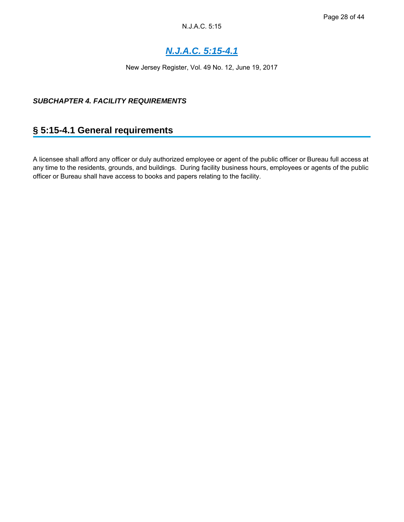# *N.J.A.C. 5:15-4.1*

New Jersey Register, Vol. 49 No. 12, June 19, 2017

### *SUBCHAPTER 4. FACILITY REQUIREMENTS*

## **§ 5:15-4.1 General requirements**

A licensee shall afford any officer or duly authorized employee or agent of the public officer or Bureau full access at any time to the residents, grounds, and buildings. During facility business hours, employees or agents of the public officer or Bureau shall have access to books and papers relating to the facility.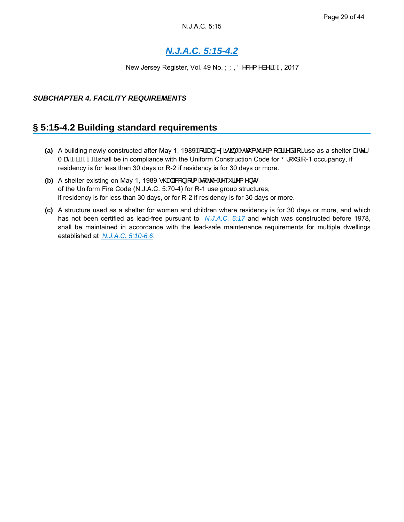Page 29 of 44

## *N.J.A.C. 5:15-4.2*

New Jersey Register, Vol. 49 No. ÝÝ, Ö^&^{ ^à^¦ fri, 2017

#### *SUBCHAPTER 4. FACILITY REQUIREMENTS*

### **§ 5:15-4.2 Building standard requirements**

- **(a)** A building newly constructed after May 1, 1989由北纳A¢ã@<sup>\*</sup>Ad<sup>o</sup>&č<sup>1</sup>Aq [åããå4] use as a shelter æc<sup>y</sup>l T  $\hat{\mathcal{B}}$   $\hat{\mathcal{B}}$   $\hat{\mathcal{B}}$   $\hat{\mathcal{B}}$   $\hat{\mathcal{B}}$  and the Uniform Construction Code for  $\tilde{\mathcal{O}}$ <sup>1</sup> [ $\hat{\mathcal{B}}$  and  $\hat{\mathcal{B}}$  and  $\hat{\mathcal{B}}$  and  $\hat{\mathcal{B}}$  and  $\hat{\mathcal{B}}$  and  $\hat{\mathcal{B}}$  and  $\hat{\mathcal{B}}$  and  $\hat{\math$ residency is for less than 30 days or R-2 if residency is for 30 days or more.
- **(b)** A shelter existing on May 1, 1989  $\mathcal{Q}$ al  $\mathcal{R}$  +  $\{ \mathcal{A} \in \mathcal{A} \land \mathcal{A} \land \mathcal{A} \}$ of the Uniform Fire Code (N.J.A.C. 5:70-4) for R-1 use group structures, if residency is for less than 30 days, or for R-2 if residency is for 30 days or more.
- **(c)** A structure used as a shelter for women and children where residency is for 30 days or more, and which has not been certified as lead-free pursuant to *N.J.A.C. 5:17* and which was constructed before 1978, shall be maintained in accordance with the lead-safe maintenance requirements for multiple dwellings established at *N.J.A.C. 5:10-6.6*.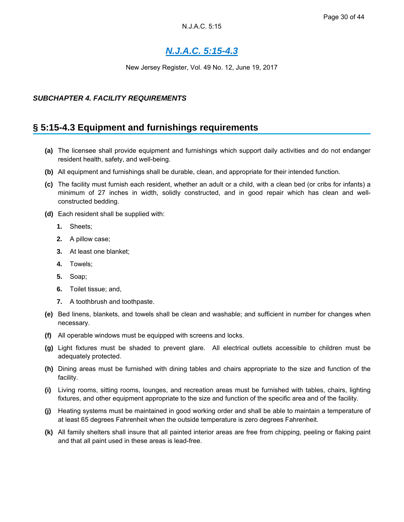New Jersey Register, Vol. 49 No. 12, June 19, 2017

### *SUBCHAPTER 4. FACILITY REQUIREMENTS*

## **§ 5:15-4.3 Equipment and furnishings requirements**

- **(a)** The licensee shall provide equipment and furnishings which support daily activities and do not endanger resident health, safety, and well-being.
- **(b)** All equipment and furnishings shall be durable, clean, and appropriate for their intended function.
- **(c)** The facility must furnish each resident, whether an adult or a child, with a clean bed (or cribs for infants) a minimum of 27 inches in width, solidly constructed, and in good repair which has clean and wellconstructed bedding.
- **(d)** Each resident shall be supplied with:
	- **1.** Sheets;
	- **2.** A pillow case;
	- **3.** At least one blanket;
	- **4.** Towels;
	- **5.** Soap;
	- **6.** Toilet tissue; and,
	- **7.** A toothbrush and toothpaste.
- **(e)** Bed linens, blankets, and towels shall be clean and washable; and sufficient in number for changes when necessary.
- **(f)** All operable windows must be equipped with screens and locks.
- **(g)** Light fixtures must be shaded to prevent glare. All electrical outlets accessible to children must be adequately protected.
- **(h)** Dining areas must be furnished with dining tables and chairs appropriate to the size and function of the facility.
- **(i)** Living rooms, sitting rooms, lounges, and recreation areas must be furnished with tables, chairs, lighting fixtures, and other equipment appropriate to the size and function of the specific area and of the facility.
- **(j)** Heating systems must be maintained in good working order and shall be able to maintain a temperature of at least 65 degrees Fahrenheit when the outside temperature is zero degrees Fahrenheit.
- **(k)** All family shelters shall insure that all painted interior areas are free from chipping, peeling or flaking paint and that all paint used in these areas is lead-free.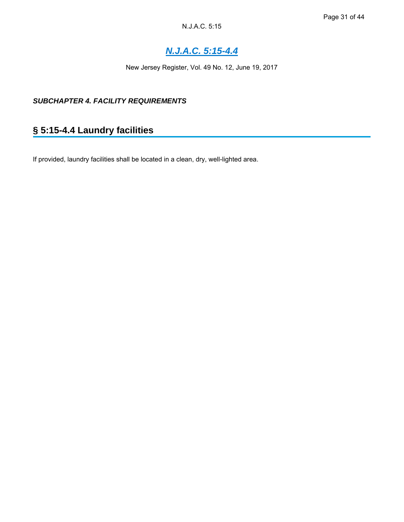# *N.J.A.C. 5:15-4.4*

New Jersey Register, Vol. 49 No. 12, June 19, 2017

### *SUBCHAPTER 4. FACILITY REQUIREMENTS*

# **§ 5:15-4.4 Laundry facilities**

If provided, laundry facilities shall be located in a clean, dry, well-lighted area.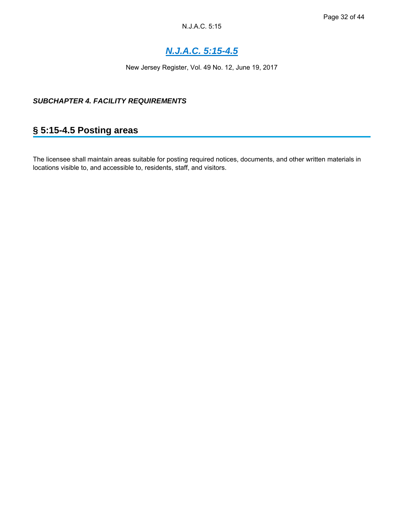# *N.J.A.C. 5:15-4.5*

New Jersey Register, Vol. 49 No. 12, June 19, 2017

### *SUBCHAPTER 4. FACILITY REQUIREMENTS*

## **§ 5:15-4.5 Posting areas**

The licensee shall maintain areas suitable for posting required notices, documents, and other written materials in locations visible to, and accessible to, residents, staff, and visitors.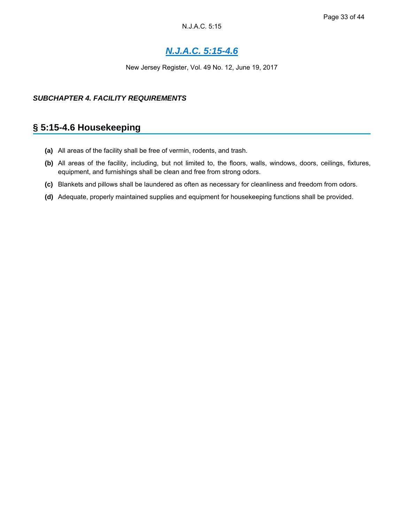## *N.J.A.C. 5:15-4.6*

New Jersey Register, Vol. 49 No. 12, June 19, 2017

#### *SUBCHAPTER 4. FACILITY REQUIREMENTS*

## **§ 5:15-4.6 Housekeeping**

- **(a)** All areas of the facility shall be free of vermin, rodents, and trash.
- **(b)** All areas of the facility, including, but not limited to, the floors, walls, windows, doors, ceilings, fixtures, equipment, and furnishings shall be clean and free from strong odors.
- **(c)** Blankets and pillows shall be laundered as often as necessary for cleanliness and freedom from odors.
- **(d)** Adequate, properly maintained supplies and equipment for housekeeping functions shall be provided.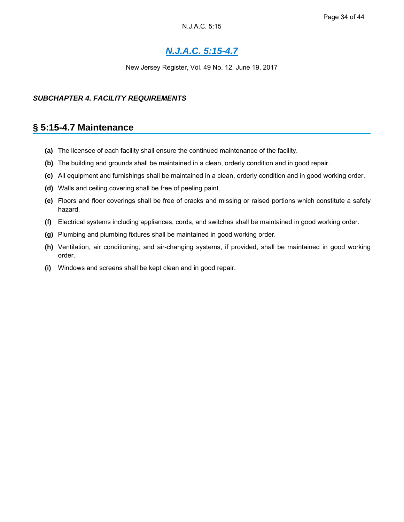New Jersey Register, Vol. 49 No. 12, June 19, 2017

#### *SUBCHAPTER 4. FACILITY REQUIREMENTS*

# **§ 5:15-4.7 Maintenance**

- **(a)** The licensee of each facility shall ensure the continued maintenance of the facility.
- **(b)** The building and grounds shall be maintained in a clean, orderly condition and in good repair.
- **(c)** All equipment and furnishings shall be maintained in a clean, orderly condition and in good working order.
- **(d)** Walls and ceiling covering shall be free of peeling paint.
- **(e)** Floors and floor coverings shall be free of cracks and missing or raised portions which constitute a safety hazard.
- **(f)** Electrical systems including appliances, cords, and switches shall be maintained in good working order.
- **(g)** Plumbing and plumbing fixtures shall be maintained in good working order.
- **(h)** Ventilation, air conditioning, and air-changing systems, if provided, shall be maintained in good working order.
- **(i)** Windows and screens shall be kept clean and in good repair.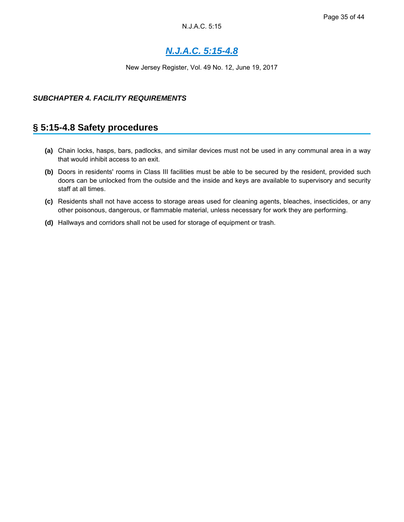New Jersey Register, Vol. 49 No. 12, June 19, 2017

#### *SUBCHAPTER 4. FACILITY REQUIREMENTS*

## **§ 5:15-4.8 Safety procedures**

- **(a)** Chain locks, hasps, bars, padlocks, and similar devices must not be used in any communal area in a way that would inhibit access to an exit.
- **(b)** Doors in residents' rooms in Class III facilities must be able to be secured by the resident, provided such doors can be unlocked from the outside and the inside and keys are available to supervisory and security staff at all times.
- **(c)** Residents shall not have access to storage areas used for cleaning agents, bleaches, insecticides, or any other poisonous, dangerous, or flammable material, unless necessary for work they are performing.
- **(d)** Hallways and corridors shall not be used for storage of equipment or trash.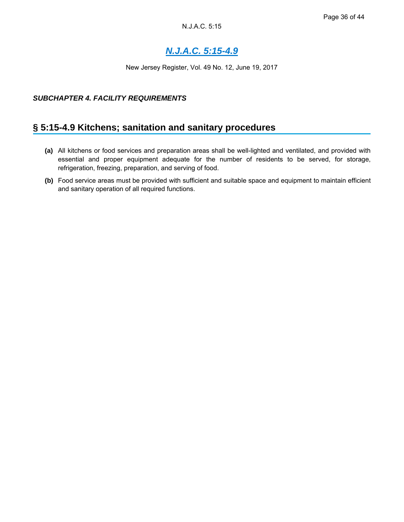# *N.J.A.C. 5:15-4.9*

New Jersey Register, Vol. 49 No. 12, June 19, 2017

#### *SUBCHAPTER 4. FACILITY REQUIREMENTS*

## **§ 5:15-4.9 Kitchens; sanitation and sanitary procedures**

- **(a)** All kitchens or food services and preparation areas shall be well-lighted and ventilated, and provided with essential and proper equipment adequate for the number of residents to be served, for storage, refrigeration, freezing, preparation, and serving of food.
- **(b)** Food service areas must be provided with sufficient and suitable space and equipment to maintain efficient and sanitary operation of all required functions.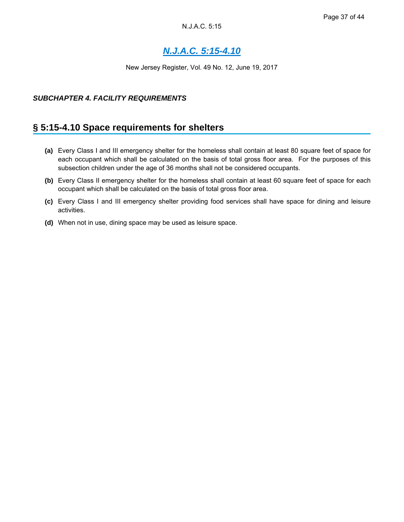New Jersey Register, Vol. 49 No. 12, June 19, 2017

#### *SUBCHAPTER 4. FACILITY REQUIREMENTS*

## **§ 5:15-4.10 Space requirements for shelters**

- **(a)** Every Class I and III emergency shelter for the homeless shall contain at least 80 square feet of space for each occupant which shall be calculated on the basis of total gross floor area. For the purposes of this subsection children under the age of 36 months shall not be considered occupants.
- **(b)** Every Class II emergency shelter for the homeless shall contain at least 60 square feet of space for each occupant which shall be calculated on the basis of total gross floor area.
- **(c)** Every Class I and III emergency shelter providing food services shall have space for dining and leisure activities.
- **(d)** When not in use, dining space may be used as leisure space.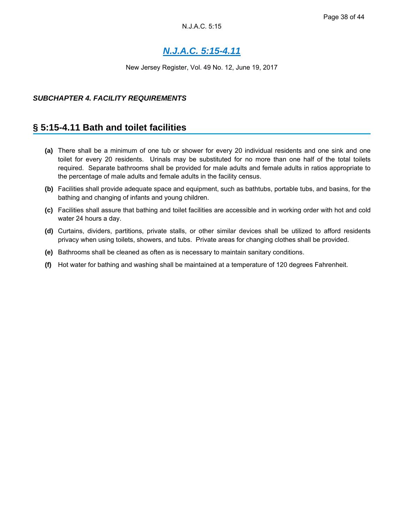New Jersey Register, Vol. 49 No. 12, June 19, 2017

#### *SUBCHAPTER 4. FACILITY REQUIREMENTS*

### **§ 5:15-4.11 Bath and toilet facilities**

- **(a)** There shall be a minimum of one tub or shower for every 20 individual residents and one sink and one toilet for every 20 residents. Urinals may be substituted for no more than one half of the total toilets required. Separate bathrooms shall be provided for male adults and female adults in ratios appropriate to the percentage of male adults and female adults in the facility census.
- **(b)** Facilities shall provide adequate space and equipment, such as bathtubs, portable tubs, and basins, for the bathing and changing of infants and young children.
- **(c)** Facilities shall assure that bathing and toilet facilities are accessible and in working order with hot and cold water 24 hours a day.
- **(d)** Curtains, dividers, partitions, private stalls, or other similar devices shall be utilized to afford residents privacy when using toilets, showers, and tubs. Private areas for changing clothes shall be provided.
- **(e)** Bathrooms shall be cleaned as often as is necessary to maintain sanitary conditions.
- **(f)** Hot water for bathing and washing shall be maintained at a temperature of 120 degrees Fahrenheit.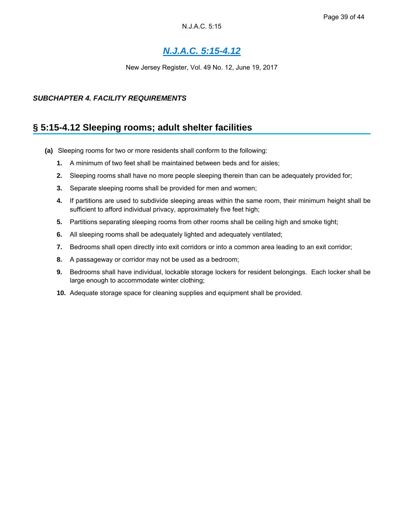New Jersey Register, Vol. 49 No. 12, June 19, 2017

### *SUBCHAPTER 4. FACILITY REQUIREMENTS*

## **§ 5:15-4.12 Sleeping rooms; adult shelter facilities**

- **(a)** Sleeping rooms for two or more residents shall conform to the following:
	- **1.** A minimum of two feet shall be maintained between beds and for aisles;
	- **2.** Sleeping rooms shall have no more people sleeping therein than can be adequately provided for;
	- **3.** Separate sleeping rooms shall be provided for men and women;
	- **4.** If partitions are used to subdivide sleeping areas within the same room, their minimum height shall be sufficient to afford individual privacy, approximately five feet high;
	- **5.** Partitions separating sleeping rooms from other rooms shall be ceiling high and smoke tight;
	- **6.** All sleeping rooms shall be adequately lighted and adequately ventilated;
	- **7.** Bedrooms shall open directly into exit corridors or into a common area leading to an exit corridor;
	- **8.** A passageway or corridor may not be used as a bedroom;
	- **9.** Bedrooms shall have individual, lockable storage lockers for resident belongings. Each locker shall be large enough to accommodate winter clothing;
	- **10.** Adequate storage space for cleaning supplies and equipment shall be provided.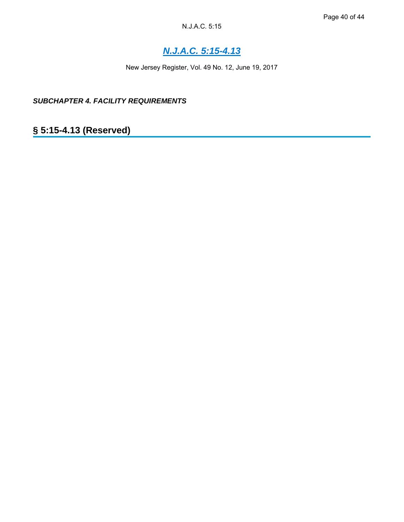# *N.J.A.C. 5:15-4.13*

New Jersey Register, Vol. 49 No. 12, June 19, 2017

*SUBCHAPTER 4. FACILITY REQUIREMENTS*

**§ 5:15-4.13 (Reserved)**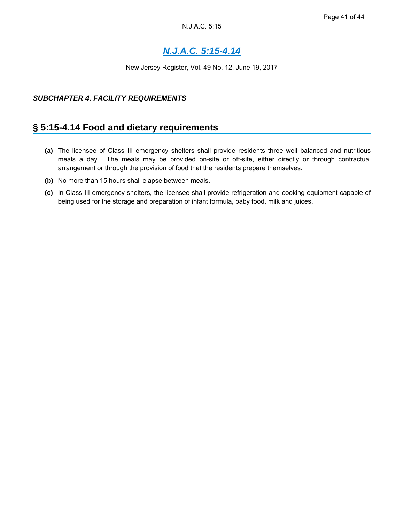New Jersey Register, Vol. 49 No. 12, June 19, 2017

#### *SUBCHAPTER 4. FACILITY REQUIREMENTS*

## **§ 5:15-4.14 Food and dietary requirements**

- **(a)** The licensee of Class III emergency shelters shall provide residents three well balanced and nutritious meals a day. The meals may be provided on-site or off-site, either directly or through contractual arrangement or through the provision of food that the residents prepare themselves.
- **(b)** No more than 15 hours shall elapse between meals.
- **(c)** In Class III emergency shelters, the licensee shall provide refrigeration and cooking equipment capable of being used for the storage and preparation of infant formula, baby food, milk and juices.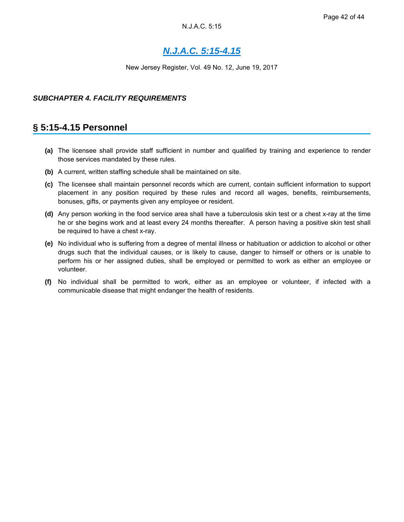New Jersey Register, Vol. 49 No. 12, June 19, 2017

#### *SUBCHAPTER 4. FACILITY REQUIREMENTS*

## **§ 5:15-4.15 Personnel**

- **(a)** The licensee shall provide staff sufficient in number and qualified by training and experience to render those services mandated by these rules.
- **(b)** A current, written staffing schedule shall be maintained on site.
- **(c)** The licensee shall maintain personnel records which are current, contain sufficient information to support placement in any position required by these rules and record all wages, benefits, reimbursements, bonuses, gifts, or payments given any employee or resident.
- **(d)** Any person working in the food service area shall have a tuberculosis skin test or a chest x-ray at the time he or she begins work and at least every 24 months thereafter. A person having a positive skin test shall be required to have a chest x-ray.
- **(e)** No individual who is suffering from a degree of mental illness or habituation or addiction to alcohol or other drugs such that the individual causes, or is likely to cause, danger to himself or others or is unable to perform his or her assigned duties, shall be employed or permitted to work as either an employee or volunteer.
- **(f)** No individual shall be permitted to work, either as an employee or volunteer, if infected with a communicable disease that might endanger the health of residents.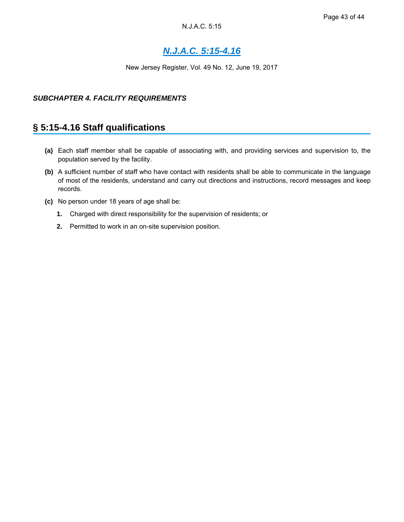New Jersey Register, Vol. 49 No. 12, June 19, 2017

#### *SUBCHAPTER 4. FACILITY REQUIREMENTS*

## **§ 5:15-4.16 Staff qualifications**

- **(a)** Each staff member shall be capable of associating with, and providing services and supervision to, the population served by the facility.
- **(b)** A sufficient number of staff who have contact with residents shall be able to communicate in the language of most of the residents, understand and carry out directions and instructions, record messages and keep records.
- **(c)** No person under 18 years of age shall be:
	- **1.** Charged with direct responsibility for the supervision of residents; or
	- **2.** Permitted to work in an on-site supervision position.